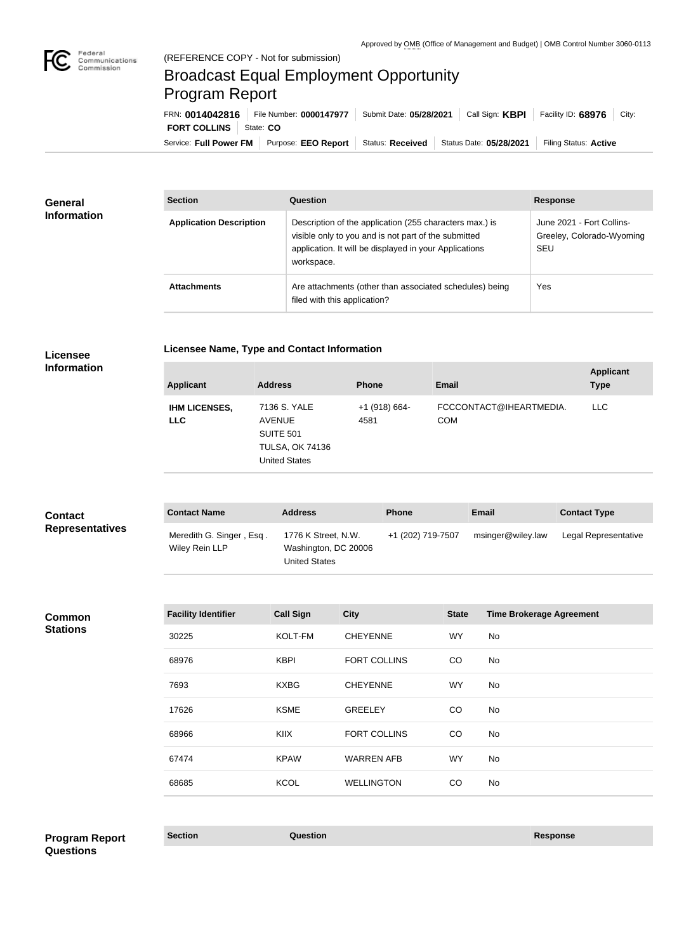

## Broadcast Equal Employment Opportunity Program Report

Service: Full Power FM Purpose: EEO Report | Status: Received | Status Date: 05/28/2021 | Filing Status: Active **FORT COLLINS** State: CO FRN: **0014042816** File Number: **0000147977** Submit Date: **05/28/2021** Call Sign: **KBPI** Facility ID: **68976** City:

| <b>General</b><br><b>Information</b> | <b>Section</b>                 | Question                                                                                                                                                                                | <b>Response</b>                                                      |
|--------------------------------------|--------------------------------|-----------------------------------------------------------------------------------------------------------------------------------------------------------------------------------------|----------------------------------------------------------------------|
|                                      | <b>Application Description</b> | Description of the application (255 characters max.) is<br>visible only to you and is not part of the submitted<br>application. It will be displayed in your Applications<br>workspace. | June 2021 - Fort Collins-<br>Greeley, Colorado-Wyoming<br><b>SEU</b> |
|                                      | <b>Attachments</b>             | Are attachments (other than associated schedules) being<br>filed with this application?                                                                                                 | Yes                                                                  |

п

**Licensee Name, Type and Contact Information**

**Information**

| <b>Applicant</b>                   | <b>Address</b>                                                                                      | <b>Phone</b>            | <b>Email</b>                          | <b>Applicant</b><br><b>Type</b> |
|------------------------------------|-----------------------------------------------------------------------------------------------------|-------------------------|---------------------------------------|---------------------------------|
| <b>IHM LICENSES,</b><br><b>LLC</b> | 7136 S. YALE<br><b>AVENUE</b><br><b>SUITE 501</b><br><b>TULSA, OK 74136</b><br><b>United States</b> | $+1$ (918) 664-<br>4581 | FCCCONTACT@IHEARTMEDIA.<br><b>COM</b> | <b>LLC</b>                      |

| <b>Contact</b>         | <b>Contact Name</b>                        | <b>Address</b>                                               | <b>Phone</b>      | <b>Email</b>      | <b>Contact Type</b>  |
|------------------------|--------------------------------------------|--------------------------------------------------------------|-------------------|-------------------|----------------------|
| <b>Representatives</b> | Meredith G. Singer, Esq.<br>Wiley Rein LLP | 1776 K Street, N.W.<br>Washington, DC 20006<br>United States | +1 (202) 719-7507 | msinger@wiley.law | Legal Representative |

**Common Stations**

| <b>Facility Identifier</b> | <b>Call Sign</b> | <b>City</b>         | <b>State</b> | <b>Time Brokerage Agreement</b> |
|----------------------------|------------------|---------------------|--------------|---------------------------------|
| 30225                      | KOLT-FM          | <b>CHEYENNE</b>     | <b>WY</b>    | No.                             |
| 68976                      | <b>KBPI</b>      | <b>FORT COLLINS</b> | CO           | No                              |
| 7693                       | <b>KXBG</b>      | <b>CHEYENNE</b>     | <b>WY</b>    | No                              |
| 17626                      | <b>KSME</b>      | <b>GREELEY</b>      | CO           | No                              |
| 68966                      | <b>KIIX</b>      | <b>FORT COLLINS</b> | CO           | No                              |
| 67474                      | <b>KPAW</b>      | <b>WARREN AFB</b>   | <b>WY</b>    | No                              |
| 68685                      | <b>KCOL</b>      | <b>WELLINGTON</b>   | CO           | No                              |
|                            |                  |                     |              |                                 |

**Section Question Response Program Report Questions**